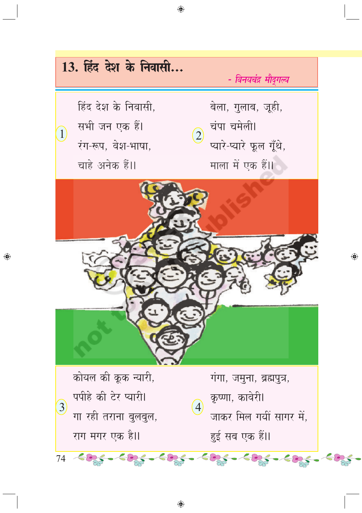

◈

◈

 $\bigoplus$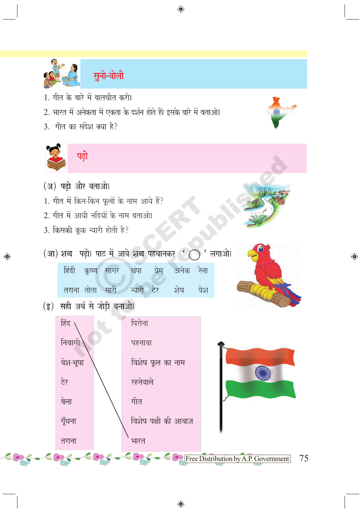



2. भारत में अनेकता में एकता के दर्शन होते हैं। इसके बारे में बताओ।

 $\bigoplus$ 

3. गीत का संदेश क्या है?



◈

- (अ) पढ़ो और बताओ।
- 1. गीत में किन-किन फूलों के नाम आये हैं?
- 2. गीत में आयी नदियों के नाम बताओ।
- 3. किसकी कूक न्यारी होती है?

(आ) शब्द पढ़ो। पाठ में आये शब्द पहचानकर ' ( )' लगाओ।



(इ) सही अर्थ से जोड़ी बनाओ।



◈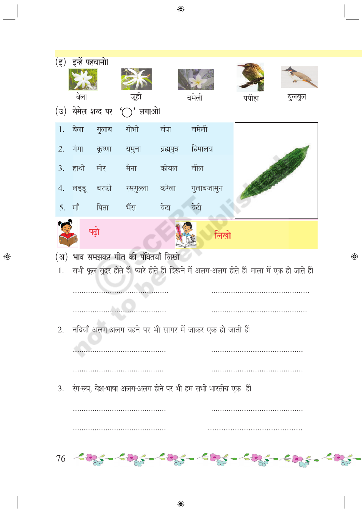

 $\bigoplus$ 

◈

◈

 $\bigoplus$